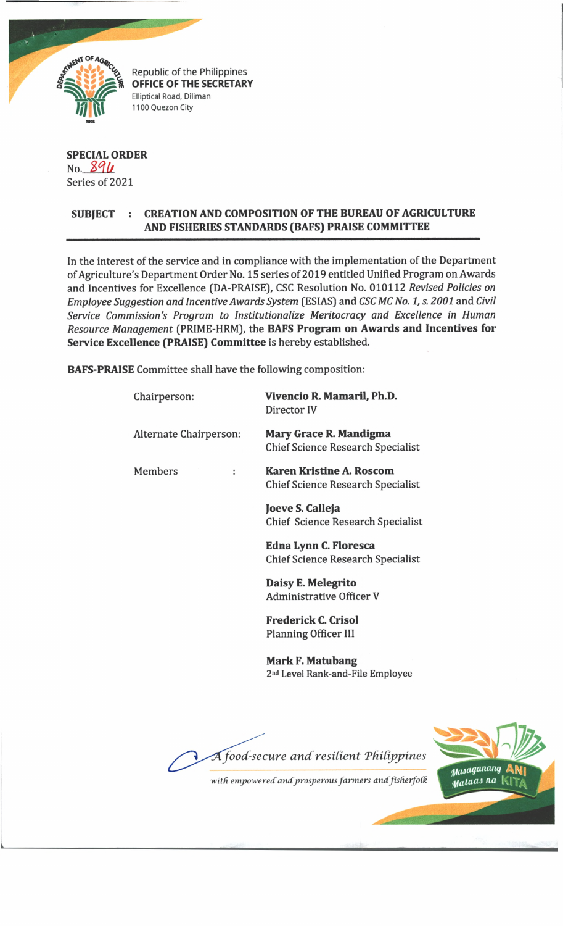

Republic of the Philippines **OFFICE OF THE SECRETARY** Elliptical Road, Diliman 1100 Quezon City

## **SPECIAL ORDER** No. 896 Series of 2021

## **SUBJECT : CREATION AND COMPOSITION OF THE BUREAU OF AGRICULTURE AND FISHERIES STANDARDS (BAFS) PRAISE COMMITTEE**

In the interest of the service and in compliance with the implementation of the Department of Agriculture's Department Order No. 15 series of 2019 entitled Unified Program on Awards and Incentives for Excellence (DA-PRAISE), CSC Resolution No. 010112 *Revised Policies on Employee Suggestion and Incentive Awards System* (ESIAS) and *CSC MC No. 1, s. 2001* and *Civil Service Commission's Program to Institutionalize Meritocracy and Excellence in Human Resource Management* (PRIME-HRM), the **BAFS Program on Awards and Incentives for Service Excellence (PRAISE) Committee** is hereby established.

**BAFS-PRAISE** Committee shall have the following composition:

| Chairperson:           | Vivencio R. Mamaril, Ph.D.<br>Director IV                                   |
|------------------------|-----------------------------------------------------------------------------|
| Alternate Chairperson: | <b>Mary Grace R. Mandigma</b><br><b>Chief Science Research Specialist</b>   |
| <b>Members</b><br>:    | <b>Karen Kristine A. Roscom</b><br><b>Chief Science Research Specialist</b> |
|                        | Joeve S. Calleja<br>Chief Science Research Specialist                       |
|                        | Edna Lynn C. Floresca<br><b>Chief Science Research Specialist</b>           |
|                        | Daisy E. Melegrito<br>Administrative Officer V                              |
|                        | <b>Frederick C. Crisol</b><br><b>Planning Officer III</b>                   |
|                        | <b>Mark F. Matubang</b><br>2 <sup>nd</sup> Level Rank-and-File Employee     |
|                        |                                                                             |





*with empowered and prosperous farmers andfisherfoCk*